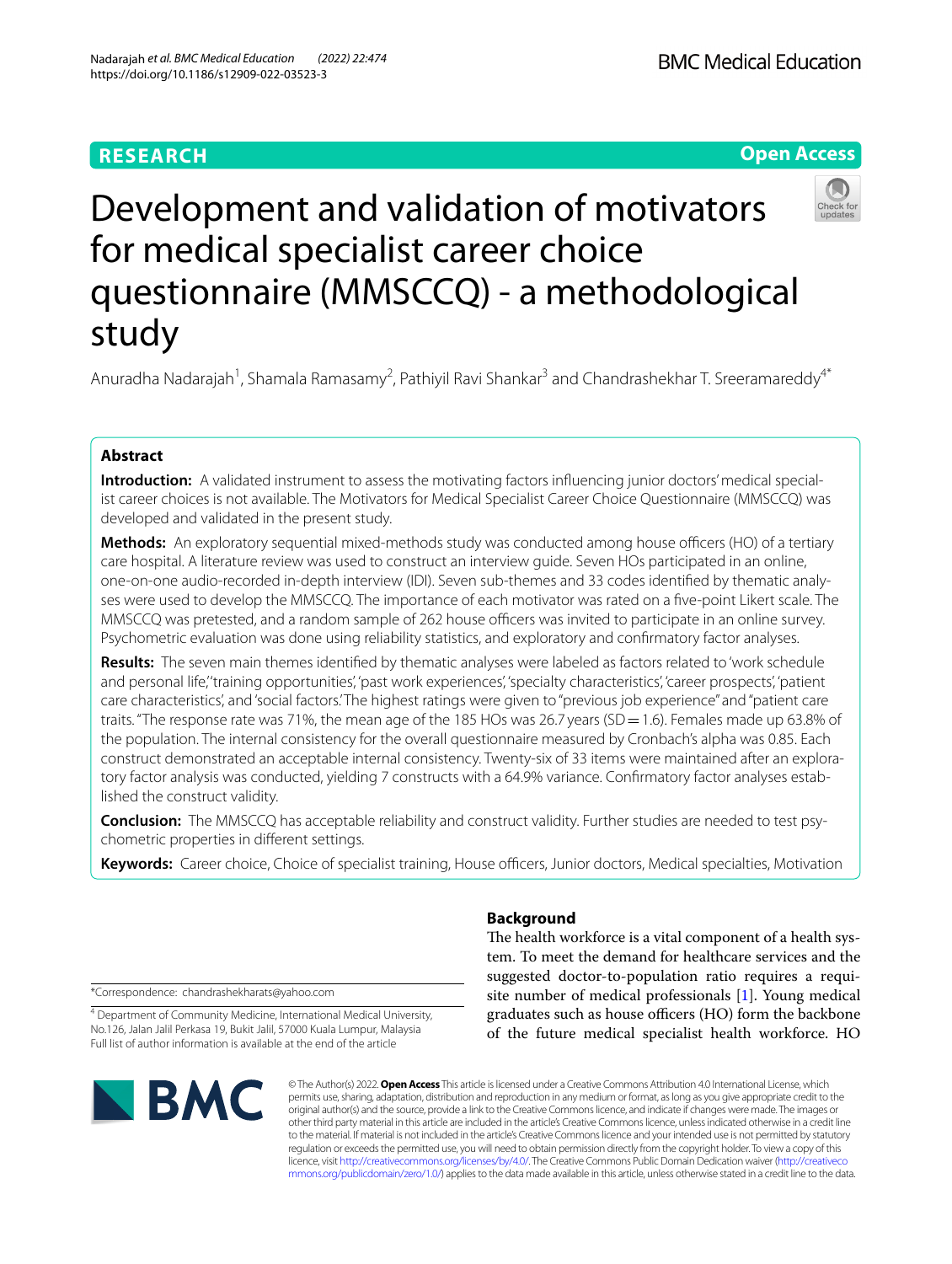# **RESEARCH**



# Development and validation of motivators for medical specialist career choice questionnaire (MMSCCQ) - a methodological study

Anuradha Nadarajah<sup>1</sup>, Shamala Ramasamy<sup>2</sup>, Pathiyil Ravi Shankar<sup>3</sup> and Chandrashekhar T. Sreeramareddy<sup>4\*</sup>

# **Abstract**

**Introduction:** A validated instrument to assess the motivating factors influencing junior doctors' medical specialist career choices is not available. The Motivators for Medical Specialist Career Choice Questionnaire (MMSCCQ) was developed and validated in the present study.

**Methods:** An exploratory sequential mixed-methods study was conducted among house officers (HO) of a tertiary care hospital. A literature review was used to construct an interview guide. Seven HOs participated in an online, one-on-one audio-recorded in-depth interview (IDI). Seven sub-themes and 33 codes identifed by thematic analyses were used to develop the MMSCCQ. The importance of each motivator was rated on a fve-point Likert scale. The MMSCCQ was pretested, and a random sample of 262 house officers was invited to participate in an online survey. Psychometric evaluation was done using reliability statistics, and exploratory and confrmatory factor analyses.

**Results:** The seven main themes identifed by thematic analyses were labeled as factors related to 'work schedule and personal life,' 'training opportunities', 'past work experiences', 'specialty characteristics', 'career prospects', 'patient care characteristics', and 'social factors.' The highest ratings were given to "previous job experience" and "patient care traits. "The response rate was 71%, the mean age of the 185 HOs was 26.7 years (SD = 1.6). Females made up 63.8% of the population. The internal consistency for the overall questionnaire measured by Cronbach's alpha was 0.85. Each construct demonstrated an acceptable internal consistency. Twenty-six of 33 items were maintained after an exploratory factor analysis was conducted, yielding 7 constructs with a 64.9% variance. Confrmatory factor analyses established the construct validity.

**Conclusion:** The MMSCCQ has acceptable reliability and construct validity. Further studies are needed to test psychometric properties in diferent settings.

Keywords: Career choice, Choice of specialist training, House officers, Junior doctors, Medical specialties, Motivation

\*Correspondence: chandrashekharats@yahoo.com

<sup>4</sup> Department of Community Medicine, International Medical University, No.126, Jalan Jalil Perkasa 19, Bukit Jalil, 57000 Kuala Lumpur, Malaysia Full list of author information is available at the end of the article



# **Background**

The health workforce is a vital component of a health system. To meet the demand for healthcare services and the suggested doctor-to-population ratio requires a requisite number of medical professionals [[1\]](#page-8-0). Young medical graduates such as house officers (HO) form the backbone of the future medical specialist health workforce. HO

© The Author(s) 2022. **Open Access** This article is licensed under a Creative Commons Attribution 4.0 International License, which permits use, sharing, adaptation, distribution and reproduction in any medium or format, as long as you give appropriate credit to the original author(s) and the source, provide a link to the Creative Commons licence, and indicate if changes were made. The images or other third party material in this article are included in the article's Creative Commons licence, unless indicated otherwise in a credit line to the material. If material is not included in the article's Creative Commons licence and your intended use is not permitted by statutory regulation or exceeds the permitted use, you will need to obtain permission directly from the copyright holder. To view a copy of this licence, visit [http://creativecommons.org/licenses/by/4.0/.](http://creativecommons.org/licenses/by/4.0/) The Creative Commons Public Domain Dedication waiver ([http://creativeco](http://creativecommons.org/publicdomain/zero/1.0/) [mmons.org/publicdomain/zero/1.0/](http://creativecommons.org/publicdomain/zero/1.0/)) applies to the data made available in this article, unless otherwise stated in a credit line to the data.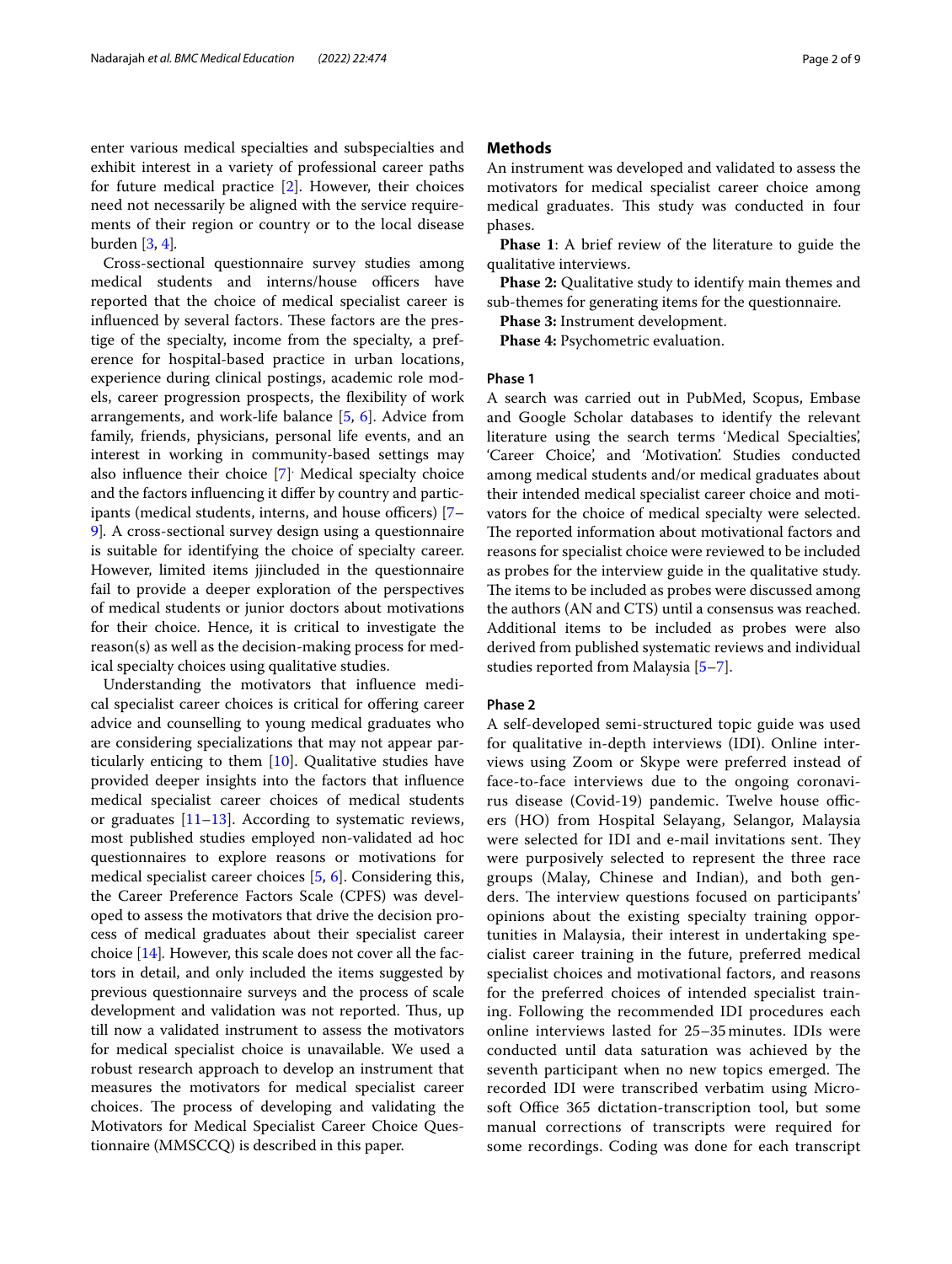Cross-sectional questionnaire survey studies among medical students and interns/house officers have reported that the choice of medical specialist career is influenced by several factors. These factors are the prestige of the specialty, income from the specialty, a preference for hospital-based practice in urban locations, experience during clinical postings, academic role models, career progression prospects, the fexibility of work arrangements, and work-life balance [[5,](#page-8-4) [6](#page-8-5)]. Advice from family, friends, physicians, personal life events, and an interest in working in community-based settings may also infuence their choice [\[7](#page-8-6)] . Medical specialty choice and the factors infuencing it difer by country and participants (medical students, interns, and house officers)  $[7-$ [9\]](#page-8-7)*.* A cross-sectional survey design using a questionnaire is suitable for identifying the choice of specialty career. However, limited items jjincluded in the questionnaire fail to provide a deeper exploration of the perspectives of medical students or junior doctors about motivations for their choice. Hence, it is critical to investigate the reason(s) as well as the decision-making process for medical specialty choices using qualitative studies.

Understanding the motivators that infuence medical specialist career choices is critical for offering career advice and counselling to young medical graduates who are considering specializations that may not appear particularly enticing to them [\[10](#page-8-8)]. Qualitative studies have provided deeper insights into the factors that infuence medical specialist career choices of medical students or graduates [\[11](#page-8-9)[–13\]](#page-8-10). According to systematic reviews, most published studies employed non-validated ad hoc questionnaires to explore reasons or motivations for medical specialist career choices [[5,](#page-8-4) [6\]](#page-8-5). Considering this, the Career Preference Factors Scale (CPFS) was developed to assess the motivators that drive the decision process of medical graduates about their specialist career choice [[14](#page-8-11)]*.* However, this scale does not cover all the factors in detail, and only included the items suggested by previous questionnaire surveys and the process of scale development and validation was not reported. Thus, up till now a validated instrument to assess the motivators for medical specialist choice is unavailable. We used a robust research approach to develop an instrument that measures the motivators for medical specialist career choices. The process of developing and validating the Motivators for Medical Specialist Career Choice Questionnaire (MMSCCQ) is described in this paper.

# **Methods**

An instrument was developed and validated to assess the motivators for medical specialist career choice among medical graduates. This study was conducted in four phases.

**Phase 1**: A brief review of the literature to guide the qualitative interviews.

**Phase 2:** Qualitative study to identify main themes and sub-themes for generating items for the questionnaire.

**Phase 3:** Instrument development.

**Phase 4:** Psychometric evaluation.

#### **Phase 1**

A search was carried out in PubMed, Scopus, Embase and Google Scholar databases to identify the relevant literature using the search terms 'Medical Specialties', 'Career Choice', and 'Motivation'. Studies conducted among medical students and/or medical graduates about their intended medical specialist career choice and motivators for the choice of medical specialty were selected. The reported information about motivational factors and reasons for specialist choice were reviewed to be included as probes for the interview guide in the qualitative study. The items to be included as probes were discussed among the authors (AN and CTS) until a consensus was reached. Additional items to be included as probes were also derived from published systematic reviews and individual studies reported from Malaysia [\[5](#page-8-4)[–7](#page-8-6)].

#### **Phase 2**

A self-developed semi-structured topic guide was used for qualitative in-depth interviews (IDI). Online interviews using Zoom or Skype were preferred instead of face-to-face interviews due to the ongoing coronavirus disease (Covid-19) pandemic. Twelve house officers (HO) from Hospital Selayang, Selangor, Malaysia were selected for IDI and e-mail invitations sent. They were purposively selected to represent the three race groups (Malay, Chinese and Indian), and both genders. The interview questions focused on participants' opinions about the existing specialty training opportunities in Malaysia, their interest in undertaking specialist career training in the future, preferred medical specialist choices and motivational factors, and reasons for the preferred choices of intended specialist training. Following the recommended IDI procedures each online interviews lasted for 25–35 minutes. IDIs were conducted until data saturation was achieved by the seventh participant when no new topics emerged. The recorded IDI were transcribed verbatim using Microsoft Office 365 dictation-transcription tool, but some manual corrections of transcripts were required for some recordings. Coding was done for each transcript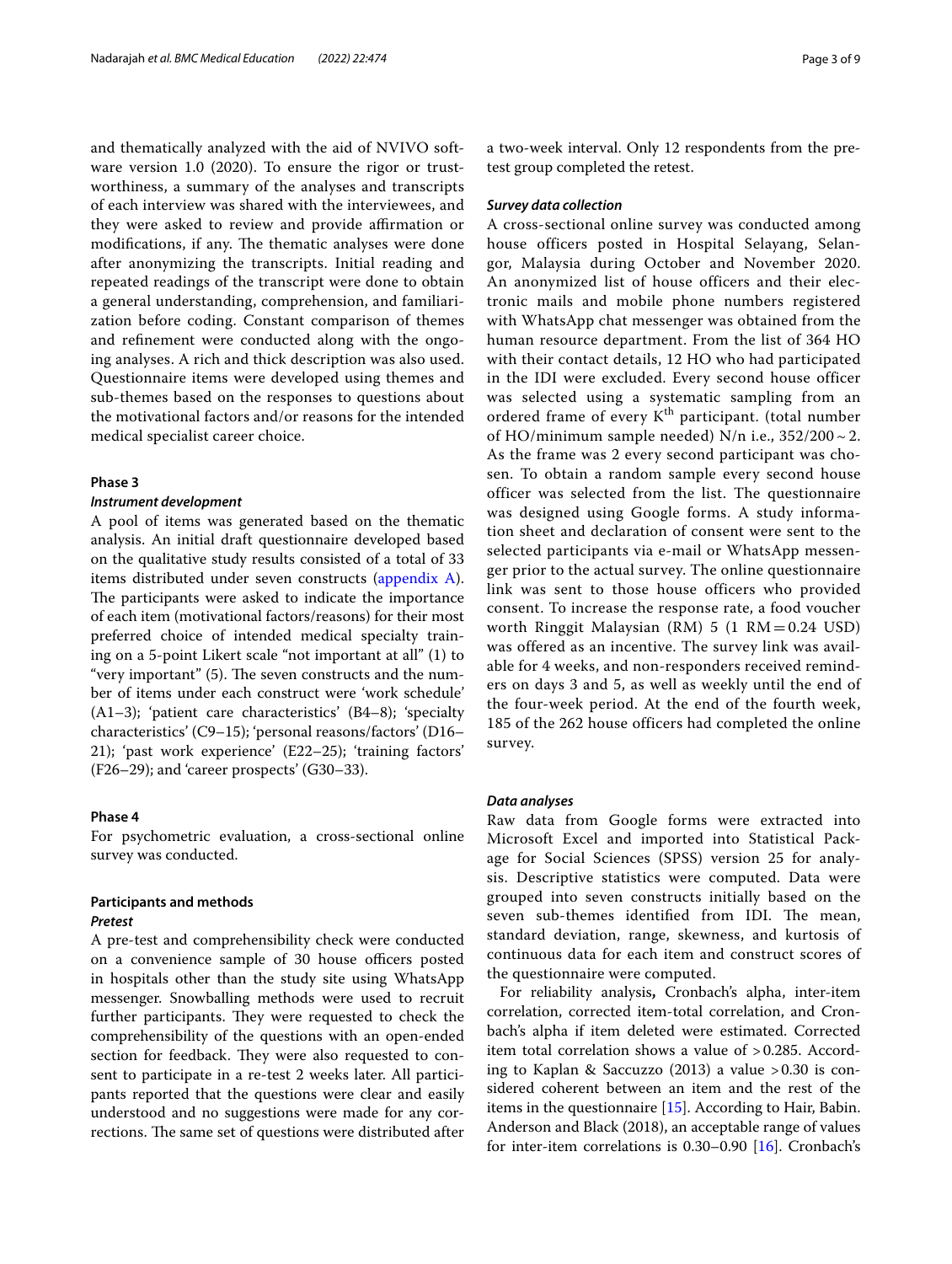and thematically analyzed with the aid of NVIVO software version 1.0 (2020). To ensure the rigor or trustworthiness, a summary of the analyses and transcripts of each interview was shared with the interviewees, and they were asked to review and provide affirmation or modifications, if any. The thematic analyses were done after anonymizing the transcripts. Initial reading and repeated readings of the transcript were done to obtain a general understanding, comprehension, and familiarization before coding. Constant comparison of themes and refnement were conducted along with the ongoing analyses. A rich and thick description was also used. Questionnaire items were developed using themes and sub-themes based on the responses to questions about the motivational factors and/or reasons for the intended medical specialist career choice.

## **Phase 3**

## *Instrument development*

A pool of items was generated based on the thematic analysis. An initial draft questionnaire developed based on the qualitative study results consisted of a total of 33 items distributed under seven constructs ([appendix A](#page-8-12)). The participants were asked to indicate the importance of each item (motivational factors/reasons) for their most preferred choice of intended medical specialty training on a 5-point Likert scale "not important at all" (1) to "very important"  $(5)$ . The seven constructs and the number of items under each construct were 'work schedule' (A1–3); 'patient care characteristics' (B4–8); 'specialty characteristics' (C9–15); 'personal reasons/factors' (D16– 21); 'past work experience' (E22–25); 'training factors' (F26–29); and 'career prospects' (G30–33).

# **Phase 4**

For psychometric evaluation, a cross-sectional online survey was conducted.

# **Participants and methods**

#### *Pretest*

A pre-test and comprehensibility check were conducted on a convenience sample of 30 house officers posted in hospitals other than the study site using WhatsApp messenger. Snowballing methods were used to recruit further participants. They were requested to check the comprehensibility of the questions with an open-ended section for feedback. They were also requested to consent to participate in a re-test 2 weeks later. All participants reported that the questions were clear and easily understood and no suggestions were made for any corrections. The same set of questions were distributed after a two-week interval. Only 12 respondents from the pretest group completed the retest.

#### *Survey data collection*

A cross-sectional online survey was conducted among house officers posted in Hospital Selayang, Selangor, Malaysia during October and November 2020. An anonymized list of house officers and their electronic mails and mobile phone numbers registered with WhatsApp chat messenger was obtained from the human resource department. From the list of 364 HO with their contact details, 12 HO who had participated in the IDI were excluded. Every second house officer was selected using a systematic sampling from an ordered frame of every K<sup>th</sup> participant. (total number of HO/minimum sample needed) N/n i.e.,  $352/200 \sim 2$ . As the frame was 2 every second participant was chosen. To obtain a random sample every second house officer was selected from the list. The questionnaire was designed using Google forms. A study information sheet and declaration of consent were sent to the selected participants via e-mail or WhatsApp messenger prior to the actual survey. The online questionnaire link was sent to those house officers who provided consent. To increase the response rate, a food voucher worth Ringgit Malaysian (RM)  $5$  (1 RM = 0.24 USD) was offered as an incentive. The survey link was available for 4 weeks, and non-responders received reminders on days 3 and 5, as well as weekly until the end of the four-week period. At the end of the fourth week, 185 of the 262 house officers had completed the online survey.

#### *Data analyses*

Raw data from Google forms were extracted into Microsoft Excel and imported into Statistical Package for Social Sciences (SPSS) version 25 for analysis. Descriptive statistics were computed. Data were grouped into seven constructs initially based on the seven sub-themes identified from IDI. The mean, standard deviation, range, skewness, and kurtosis of continuous data for each item and construct scores of the questionnaire were computed.

For reliability analysis**,** Cronbach's alpha, inter-item correlation, corrected item-total correlation, and Cronbach's alpha if item deleted were estimated. Corrected item total correlation shows a value of >0.285. According to Kaplan & Saccuzzo (2013) a value >0.30 is considered coherent between an item and the rest of the items in the questionnaire [\[15\]](#page-8-13). According to Hair, Babin. Anderson and Black (2018), an acceptable range of values for inter-item correlations is 0.30–0.90 [\[16](#page-8-14)]. Cronbach's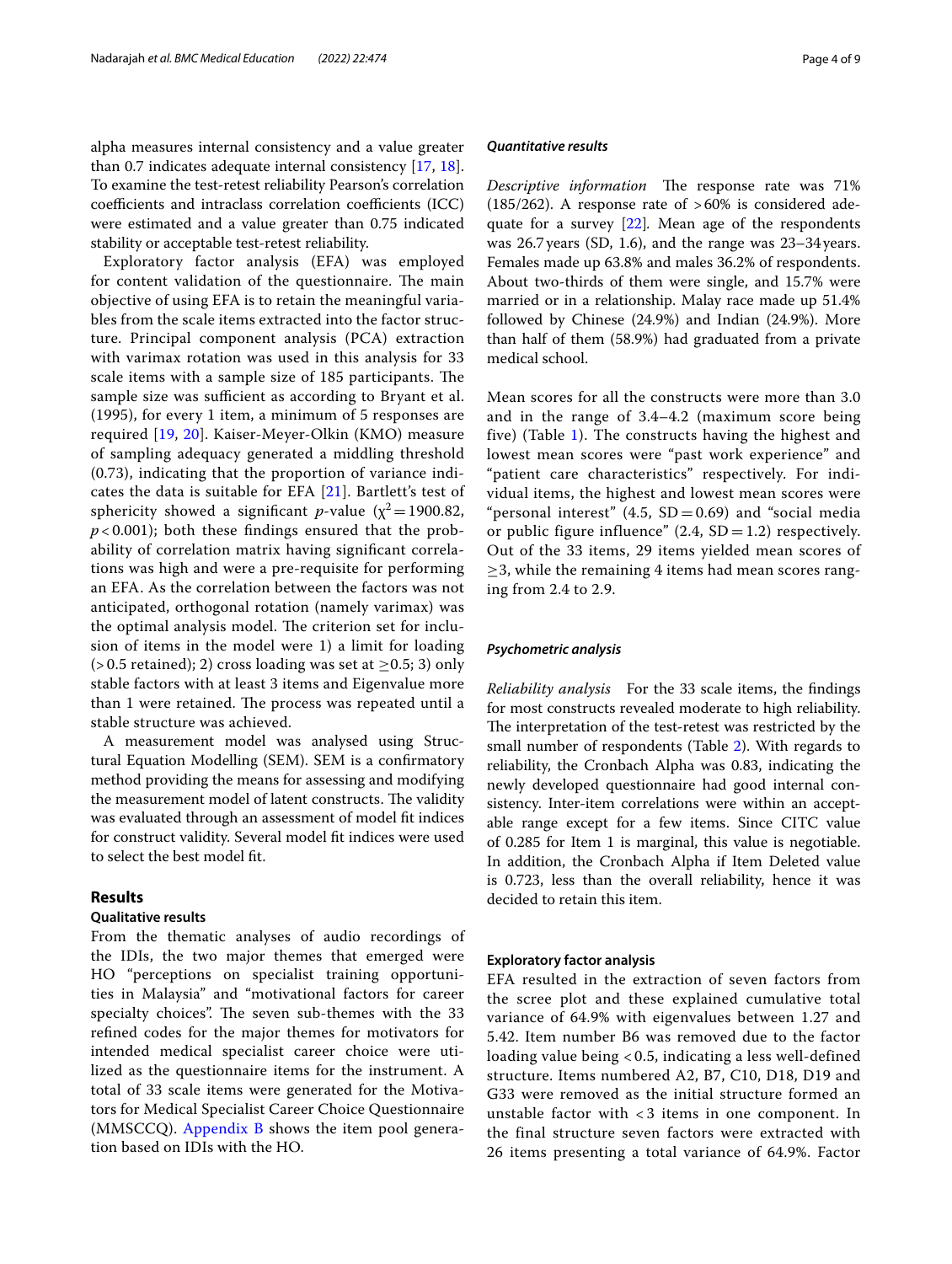alpha measures internal consistency and a value greater than 0.7 indicates adequate internal consistency [\[17](#page-8-15), [18](#page-8-16)]. To examine the test-retest reliability Pearson's correlation coefficients and intraclass correlation coefficients (ICC) were estimated and a value greater than 0.75 indicated stability or acceptable test-retest reliability.

Exploratory factor analysis (EFA) was employed for content validation of the questionnaire. The main objective of using EFA is to retain the meaningful variables from the scale items extracted into the factor structure. Principal component analysis (PCA) extraction with varimax rotation was used in this analysis for 33 scale items with a sample size of 185 participants. The sample size was sufficient as according to Bryant et al. (1995), for every 1 item, a minimum of 5 responses are required [\[19](#page-8-17), [20\]](#page-8-18). Kaiser-Meyer-Olkin (KMO) measure of sampling adequacy generated a middling threshold (0.73), indicating that the proportion of variance indicates the data is suitable for EFA [[21](#page-8-19)]. Bartlett's test of sphericity showed a significant *p*-value ( $\chi^2$ =1900.82,  $p$  < 0.001); both these findings ensured that the probability of correlation matrix having signifcant correlations was high and were a pre-requisite for performing an EFA. As the correlation between the factors was not anticipated, orthogonal rotation (namely varimax) was the optimal analysis model. The criterion set for inclusion of items in the model were 1) a limit for loading  $(> 0.5 \text{ retained}); 2$  cross loading was set at  $> 0.5; 3$  only stable factors with at least 3 items and Eigenvalue more than 1 were retained. The process was repeated until a stable structure was achieved.

A measurement model was analysed using Structural Equation Modelling (SEM). SEM is a confrmatory method providing the means for assessing and modifying the measurement model of latent constructs. The validity was evaluated through an assessment of model ft indices for construct validity. Several model ft indices were used to select the best model ft.

# **Results**

# **Qualitative results**

From the thematic analyses of audio recordings of the IDIs, the two major themes that emerged were HO "perceptions on specialist training opportunities in Malaysia" and "motivational factors for career specialty choices". The seven sub-themes with the 33 refned codes for the major themes for motivators for intended medical specialist career choice were utilized as the questionnaire items for the instrument. A total of 33 scale items were generated for the Motivators for Medical Specialist Career Choice Questionnaire (MMSCCQ). [Appendix B](#page-8-20) shows the item pool generation based on IDIs with the HO.

#### *Quantitative results*

*Descriptive information* The response rate was 71%  $(185/262)$ . A response rate of  $>60\%$  is considered adequate for a survey [[22\]](#page-8-21)*.* Mean age of the respondents was 26.7years (SD, 1.6), and the range was 23–34years. Females made up 63.8% and males 36.2% of respondents. About two-thirds of them were single, and 15.7% were married or in a relationship. Malay race made up 51.4% followed by Chinese (24.9%) and Indian (24.9%). More than half of them (58.9%) had graduated from a private medical school.

Mean scores for all the constructs were more than 3.0 and in the range of 3.4–4.2 (maximum score being five) (Table [1](#page-4-0)). The constructs having the highest and lowest mean scores were "past work experience" and "patient care characteristics" respectively. For individual items, the highest and lowest mean scores were "personal interest"  $(4.5, SD = 0.69)$  and "social media or public figure influence"  $(2.4, SD = 1.2)$  respectively. Out of the 33 items, 29 items yielded mean scores of  $\geq$ 3, while the remaining 4 items had mean scores ranging from 2.4 to 2.9.

## *Psychometric analysis*

*Reliability analysis* For the 33 scale items, the fndings for most constructs revealed moderate to high reliability. The interpretation of the test-retest was restricted by the small number of respondents (Table [2\)](#page-5-0). With regards to reliability, the Cronbach Alpha was 0.83, indicating the newly developed questionnaire had good internal consistency. Inter-item correlations were within an acceptable range except for a few items. Since CITC value of 0.285 for Item 1 is marginal, this value is negotiable. In addition, the Cronbach Alpha if Item Deleted value is 0.723, less than the overall reliability, hence it was decided to retain this item.

#### **Exploratory factor analysis**

EFA resulted in the extraction of seven factors from the scree plot and these explained cumulative total variance of 64.9% with eigenvalues between 1.27 and 5.42. Item number B6 was removed due to the factor loading value being < 0.5, indicating a less well-defined structure. Items numbered A2, B7, C10, D18, D19 and G33 were removed as the initial structure formed an unstable factor with < 3 items in one component. In the final structure seven factors were extracted with 26 items presenting a total variance of 64.9%. Factor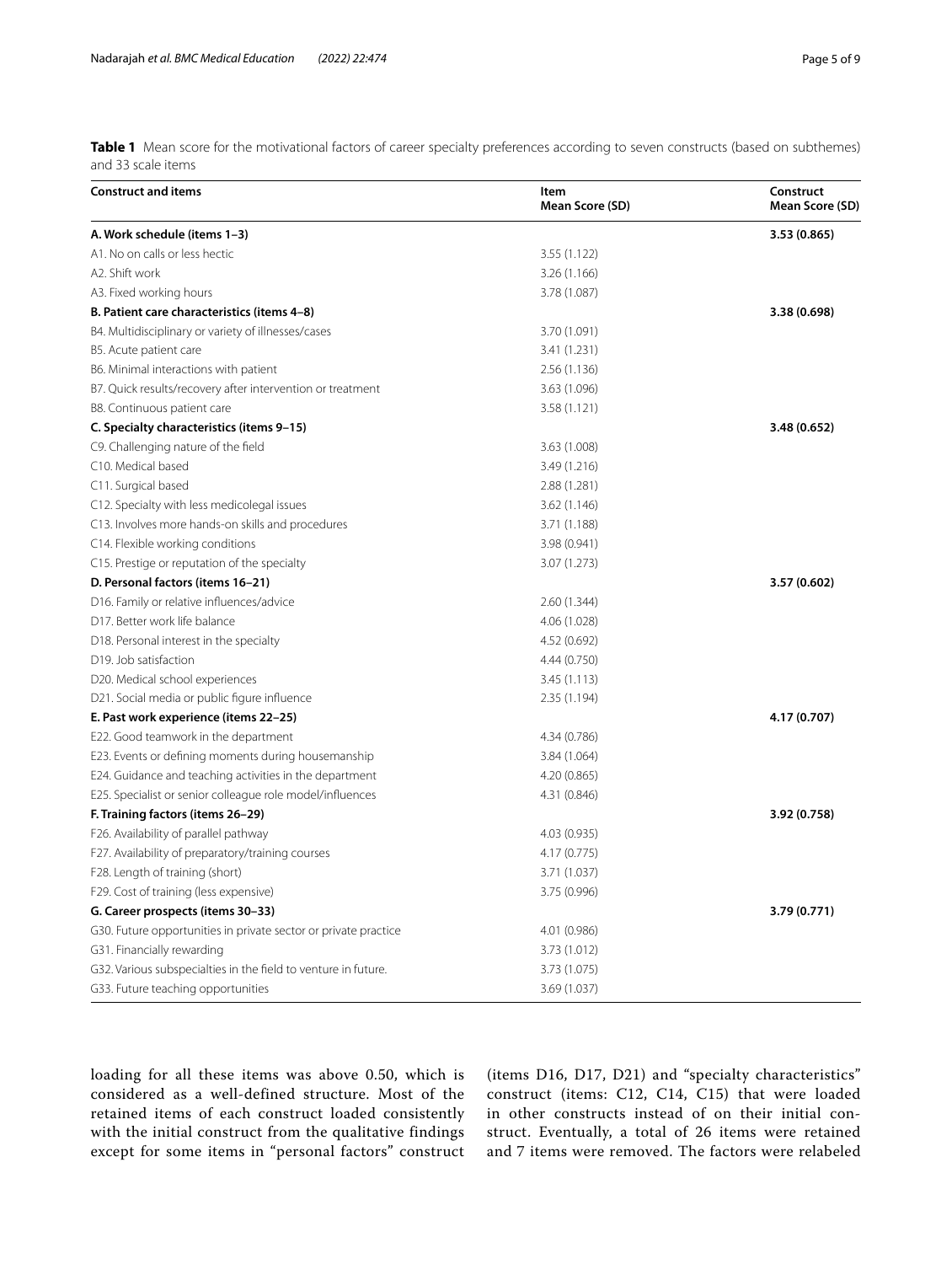<span id="page-4-0"></span>**Table 1** Mean score for the motivational factors of career specialty preferences according to seven constructs (based on subthemes) and 33 scale items

| <b>Construct and items</b>                                      | Item<br>Mean Score (SD) | Construct<br>Mean Score (SD) |
|-----------------------------------------------------------------|-------------------------|------------------------------|
| A. Work schedule (items 1-3)                                    |                         | 3.53 (0.865)                 |
| A1. No on calls or less hectic                                  | 3.55 (1.122)            |                              |
| A2. Shift work                                                  | 3.26 (1.166)            |                              |
| A3. Fixed working hours                                         | 3.78 (1.087)            |                              |
| B. Patient care characteristics (items 4-8)                     |                         | 3.38 (0.698)                 |
| B4. Multidisciplinary or variety of illnesses/cases             | 3.70 (1.091)            |                              |
| B5. Acute patient care                                          | 3.41 (1.231)            |                              |
| B6. Minimal interactions with patient                           | 2.56(1.136)             |                              |
| B7. Quick results/recovery after intervention or treatment      | 3.63 (1.096)            |                              |
| B8. Continuous patient care                                     | 3.58 (1.121)            |                              |
| C. Specialty characteristics (items 9-15)                       |                         | 3.48 (0.652)                 |
| C9. Challenging nature of the field                             | 3.63 (1.008)            |                              |
| C10. Medical based                                              | 3.49 (1.216)            |                              |
| C11. Surgical based                                             | 2.88 (1.281)            |                              |
| C12. Specialty with less medicolegal issues                     | 3.62 (1.146)            |                              |
| C13. Involves more hands-on skills and procedures               | 3.71 (1.188)            |                              |
| C14. Flexible working conditions                                | 3.98 (0.941)            |                              |
| C15. Prestige or reputation of the specialty                    | 3.07 (1.273)            |                              |
| D. Personal factors (items 16-21)                               |                         | 3.57 (0.602)                 |
| D16. Family or relative influences/advice                       | 2.60(1.344)             |                              |
| D17. Better work life balance                                   | 4.06 (1.028)            |                              |
| D18. Personal interest in the specialty                         | 4.52 (0.692)            |                              |
| D19. Job satisfaction                                           | 4.44 (0.750)            |                              |
| D20. Medical school experiences                                 | 3.45(1.113)             |                              |
| D21. Social media or public figure influence                    | 2.35(1.194)             |                              |
| E. Past work experience (items 22-25)                           |                         | 4.17 (0.707)                 |
| E22. Good teamwork in the department                            | 4.34 (0.786)            |                              |
| E23. Events or defining moments during housemanship             | 3.84 (1.064)            |                              |
| E24. Guidance and teaching activities in the department         | 4.20 (0.865)            |                              |
| E25. Specialist or senior colleague role model/influences       | 4.31 (0.846)            |                              |
| F. Training factors (items 26-29)                               |                         | 3.92 (0.758)                 |
| F26. Availability of parallel pathway                           | 4.03 (0.935)            |                              |
| F27. Availability of preparatory/training courses               | 4.17 (0.775)            |                              |
| F28. Length of training (short)                                 | 3.71 (1.037)            |                              |
| F29. Cost of training (less expensive)                          | 3.75 (0.996)            |                              |
| G. Career prospects (items 30-33)                               |                         | 3.79 (0.771)                 |
| G30. Future opportunities in private sector or private practice | 4.01 (0.986)            |                              |
| G31. Financially rewarding                                      | 3.73 (1.012)            |                              |
| G32. Various subspecialties in the field to venture in future.  | 3.73 (1.075)            |                              |
| G33. Future teaching opportunities                              | 3.69 (1.037)            |                              |

loading for all these items was above 0.50, which is considered as a well-defined structure. Most of the retained items of each construct loaded consistently with the initial construct from the qualitative findings except for some items in "personal factors" construct (items D16, D17, D21) and "specialty characteristics" construct (items: C12, C14, C15) that were loaded in other constructs instead of on their initial construct. Eventually, a total of 26 items were retained and 7 items were removed. The factors were relabeled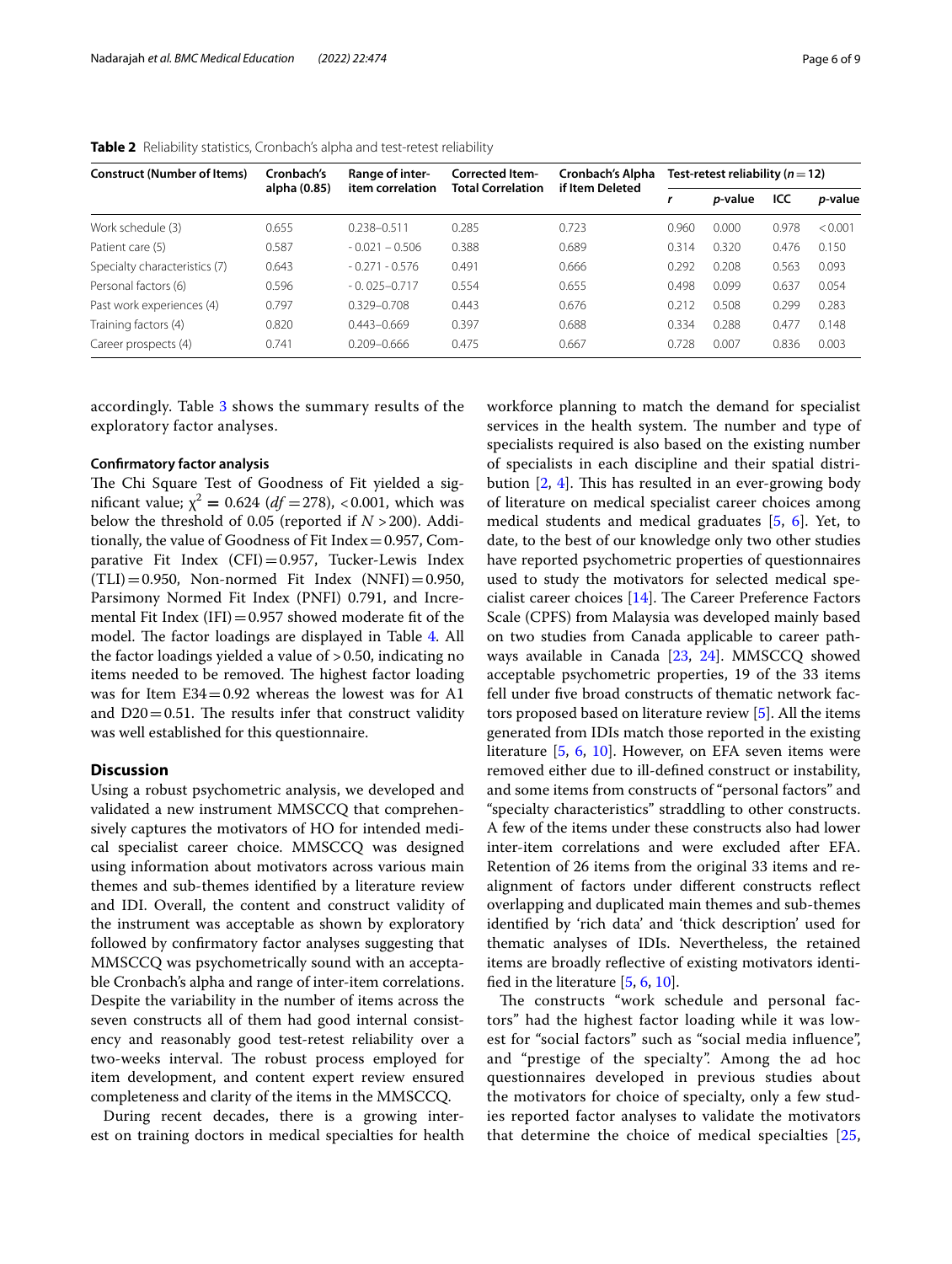| <b>Construct (Number of Items)</b> | Cronbach's<br>alpha (0.85) | Range of inter-<br>item correlation | Corrected Item-<br><b>Total Correlation</b> | Cronbach's Alpha<br>if Item Deleted | Test-retest reliability ( $n = 12$ ) |                 |       |                 |
|------------------------------------|----------------------------|-------------------------------------|---------------------------------------------|-------------------------------------|--------------------------------------|-----------------|-------|-----------------|
|                                    |                            |                                     |                                             |                                     | r                                    | <i>p</i> -value | ICC   | <i>p</i> -value |
| Work schedule (3)                  | 0.655                      | 0.238-0.511                         | 0.285                                       | 0.723                               | 0.960                                | 0.000           | 0.978 | < 0.001         |
| Patient care (5)                   | 0.587                      | $-0.021 - 0.506$                    | 0.388                                       | 0.689                               | 0.314                                | 0.320           | 0.476 | 0.150           |
| Specialty characteristics (7)      | 0.643                      | $-0.271 - 0.576$                    | 0.491                                       | 0.666                               | 0.292                                | 0.208           | 0.563 | 0.093           |
| Personal factors (6)               | 0.596                      | $-0.025 - 0.717$                    | 0.554                                       | 0.655                               | 0.498                                | 0.099           | 0.637 | 0.054           |
| Past work experiences (4)          | 0.797                      | $0.329 - 0.708$                     | 0.443                                       | 0.676                               | 0.212                                | 0.508           | 0.299 | 0.283           |
| Training factors (4)               | 0.820                      | $0.443 - 0.669$                     | 0.397                                       | 0.688                               | 0.334                                | 0.288           | 0.477 | 0.148           |
| Career prospects (4)               | 0.741                      | $0.209 - 0.666$                     | 0.475                                       | 0.667                               | 0.728                                | 0.007           | 0.836 | 0.003           |

<span id="page-5-0"></span>**Table 2** Reliability statistics, Cronbach's alpha and test-retest reliability

accordingly. Table [3](#page-6-0) shows the summary results of the exploratory factor analyses.

#### **Confrmatory factor analysis**

The Chi Square Test of Goodness of Fit yielded a significant value;  $\chi^2 = 0.624$  (*df* = 278), <0.001, which was below the threshold of 0.05 (reported if *N* >200). Additionally, the value of Goodness of Fit Index=0.957, Comparative Fit Index  $(CFI) = 0.957$ , Tucker-Lewis Index  $(TLI) = 0.950$ , Non-normed Fit Index  $(NNFI) = 0.950$ , Parsimony Normed Fit Index (PNFI) 0.791, and Incremental Fit Index (IFI) =  $0.957$  showed moderate fit of the model. The factor loadings are displayed in Table [4.](#page-7-0) All the factor loadings yielded a value of >0.50, indicating no items needed to be removed. The highest factor loading was for Item  $E34=0.92$  whereas the lowest was for A1 and  $D20=0.51$ . The results infer that construct validity was well established for this questionnaire.

#### **Discussion**

Using a robust psychometric analysis, we developed and validated a new instrument MMSCCQ that comprehensively captures the motivators of HO for intended medical specialist career choice. MMSCCQ was designed using information about motivators across various main themes and sub-themes identifed by a literature review and IDI. Overall, the content and construct validity of the instrument was acceptable as shown by exploratory followed by confrmatory factor analyses suggesting that MMSCCQ was psychometrically sound with an acceptable Cronbach's alpha and range of inter-item correlations. Despite the variability in the number of items across the seven constructs all of them had good internal consistency and reasonably good test-retest reliability over a two-weeks interval. The robust process employed for item development, and content expert review ensured completeness and clarity of the items in the MMSCCQ.

During recent decades, there is a growing interest on training doctors in medical specialties for health workforce planning to match the demand for specialist services in the health system. The number and type of specialists required is also based on the existing number of specialists in each discipline and their spatial distribution  $[2, 4]$  $[2, 4]$  $[2, 4]$ . This has resulted in an ever-growing body of literature on medical specialist career choices among medical students and medical graduates [[5,](#page-8-4) [6](#page-8-5)]. Yet, to date, to the best of our knowledge only two other studies have reported psychometric properties of questionnaires used to study the motivators for selected medical specialist career choices  $[14]$  $[14]$ . The Career Preference Factors Scale (CPFS) from Malaysia was developed mainly based on two studies from Canada applicable to career pathways available in Canada [\[23,](#page-8-22) [24\]](#page-8-23). MMSCCQ showed acceptable psychometric properties, 19 of the 33 items fell under fve broad constructs of thematic network factors proposed based on literature review [\[5](#page-8-4)]. All the items generated from IDIs match those reported in the existing literature [\[5](#page-8-4), [6,](#page-8-5) [10](#page-8-8)]. However, on EFA seven items were removed either due to ill-defned construct or instability, and some items from constructs of "personal factors" and "specialty characteristics" straddling to other constructs. A few of the items under these constructs also had lower inter-item correlations and were excluded after EFA. Retention of 26 items from the original 33 items and realignment of factors under diferent constructs refect overlapping and duplicated main themes and sub-themes identifed by 'rich data' and 'thick description' used for thematic analyses of IDIs. Nevertheless, the retained items are broadly reflective of existing motivators identifed in the literature [\[5](#page-8-4), [6,](#page-8-5) [10\]](#page-8-8).

The constructs "work schedule and personal factors" had the highest factor loading while it was lowest for "social factors" such as "social media infuence", and "prestige of the specialty". Among the ad hoc questionnaires developed in previous studies about the motivators for choice of specialty, only a few studies reported factor analyses to validate the motivators that determine the choice of medical specialties [\[25](#page-8-24),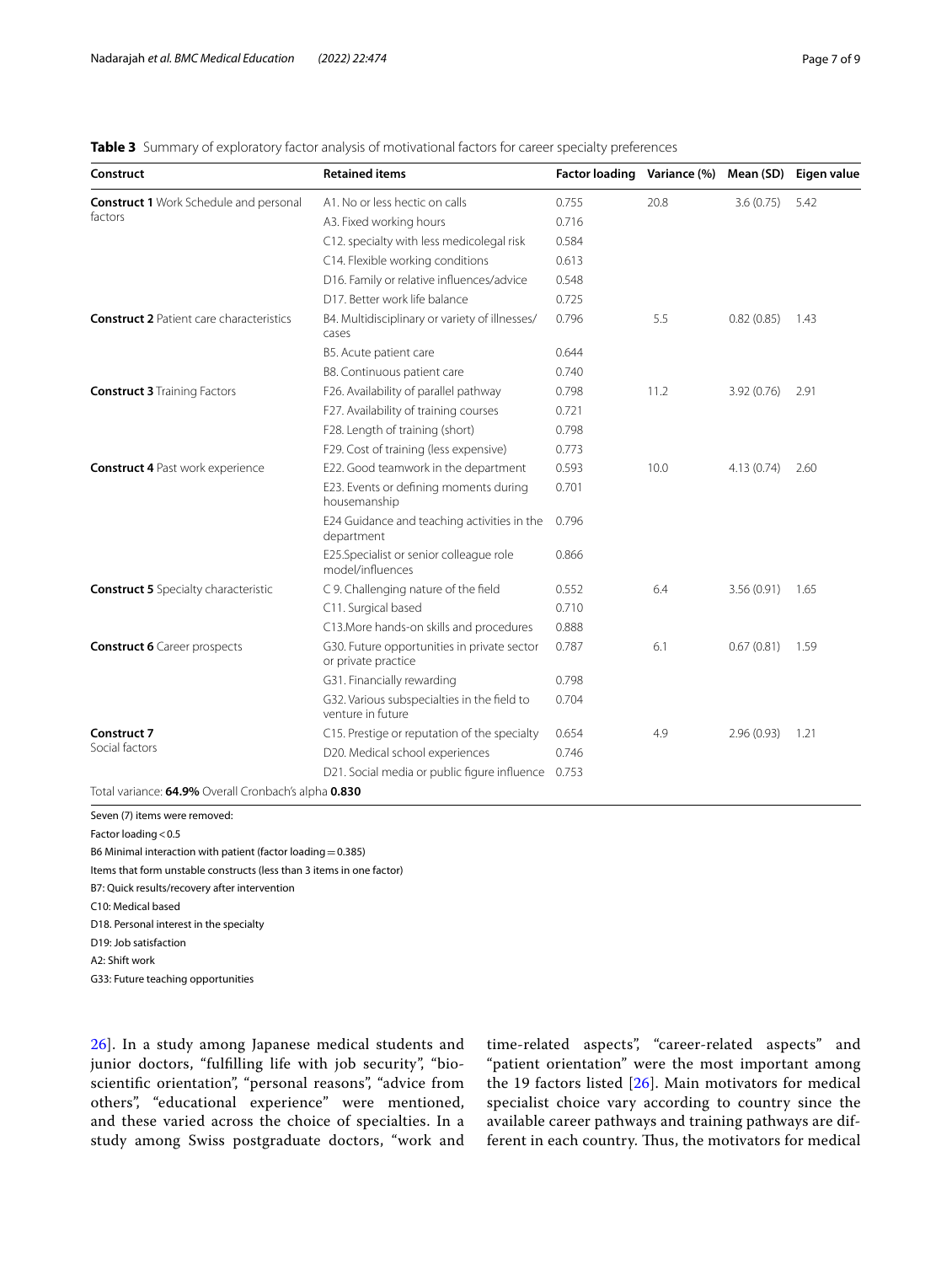# <span id="page-6-0"></span>**Table 3** Summary of exploratory factor analysis of motivational factors for career specialty preferences

| Construct                                                | <b>Retained items</b>                                              | <b>Factor loading</b> | Variance (%) |            | Mean (SD) Eigen value |
|----------------------------------------------------------|--------------------------------------------------------------------|-----------------------|--------------|------------|-----------------------|
| <b>Construct 1</b> Work Schedule and personal<br>factors | A1. No or less hectic on calls                                     | 0.755                 | 20.8         | 3.6(0.75)  | 5.42                  |
|                                                          | A3. Fixed working hours                                            | 0.716                 |              |            |                       |
|                                                          | C12. specialty with less medicolegal risk                          | 0.584                 |              |            |                       |
|                                                          | C14. Flexible working conditions                                   | 0.613                 |              |            |                       |
|                                                          | D16. Family or relative influences/advice                          | 0.548                 |              |            |                       |
|                                                          | D17. Better work life balance                                      | 0.725                 |              |            |                       |
| <b>Construct 2</b> Patient care characteristics          | B4. Multidisciplinary or variety of illnesses/<br>cases            | 0.796                 | 5.5          | 0.82(0.85) | 1.43                  |
|                                                          | B5. Acute patient care                                             | 0.644                 |              |            |                       |
|                                                          | B8. Continuous patient care                                        | 0.740                 |              |            |                       |
| <b>Construct 3 Training Factors</b>                      | F26. Availability of parallel pathway                              | 0.798                 | 11.2         | 3.92(0.76) | 2.91                  |
|                                                          | F27. Availability of training courses                              | 0.721                 |              |            |                       |
|                                                          | F28. Length of training (short)                                    | 0.798                 |              |            |                       |
|                                                          | F29. Cost of training (less expensive)                             | 0.773                 |              |            |                       |
| <b>Construct 4 Past work experience</b>                  | E22. Good teamwork in the department                               | 0.593                 | 10.0         | 4.13(0.74) | 2.60                  |
|                                                          | E23. Events or defining moments during<br>housemanship             | 0.701                 |              |            |                       |
|                                                          | E24 Guidance and teaching activities in the<br>department          | 0.796                 |              |            |                       |
|                                                          | E25.Specialist or senior colleague role<br>model/influences        | 0.866                 |              |            |                       |
| <b>Construct 5</b> Specialty characteristic              | C 9. Challenging nature of the field                               | 0.552                 | 6.4          | 3.56(0.91) | 1.65                  |
|                                                          | C11. Surgical based                                                | 0.710                 |              |            |                       |
|                                                          | C13. More hands-on skills and procedures                           | 0.888                 |              |            |                       |
| <b>Construct 6</b> Career prospects                      | G30. Future opportunities in private sector<br>or private practice | 0.787                 | 6.1          | 0.67(0.81) | 1.59                  |
|                                                          | G31. Financially rewarding                                         | 0.798                 |              |            |                       |
|                                                          | G32. Various subspecialties in the field to<br>venture in future   | 0.704                 |              |            |                       |
| <b>Construct 7</b>                                       | C15. Prestige or reputation of the specialty                       | 0.654                 | 4.9          | 2.96(0.93) | 1.21                  |
| Social factors                                           | D20. Medical school experiences                                    | 0.746                 |              |            |                       |
|                                                          | D21. Social media or public figure influence 0.753                 |                       |              |            |                       |
| Total variance: 64.9% Overall Cronbach's alpha 0.830     |                                                                    |                       |              |            |                       |

Seven (7) items were removed:

Factor loading < 0.5

B6 Minimal interaction with patient (factor loading  $=0.385$ )

Items that form unstable constructs (less than 3 items in one factor)

B7: Quick results/recovery after intervention

C10: Medical based

D18. Personal interest in the specialty

D19: Job satisfaction

A2: Shift work

G33: Future teaching opportunities

[26\]](#page-8-25). In a study among Japanese medical students and junior doctors, "fulfilling life with job security", "bioscientific orientation", "personal reasons", "advice from others", "educational experience" were mentioned, and these varied across the choice of specialties. In a study among Swiss postgraduate doctors, "work and time-related aspects", "career-related aspects" and "patient orientation" were the most important among the 19 factors listed  $[26]$  $[26]$ . Main motivators for medical specialist choice vary according to country since the available career pathways and training pathways are different in each country. Thus, the motivators for medical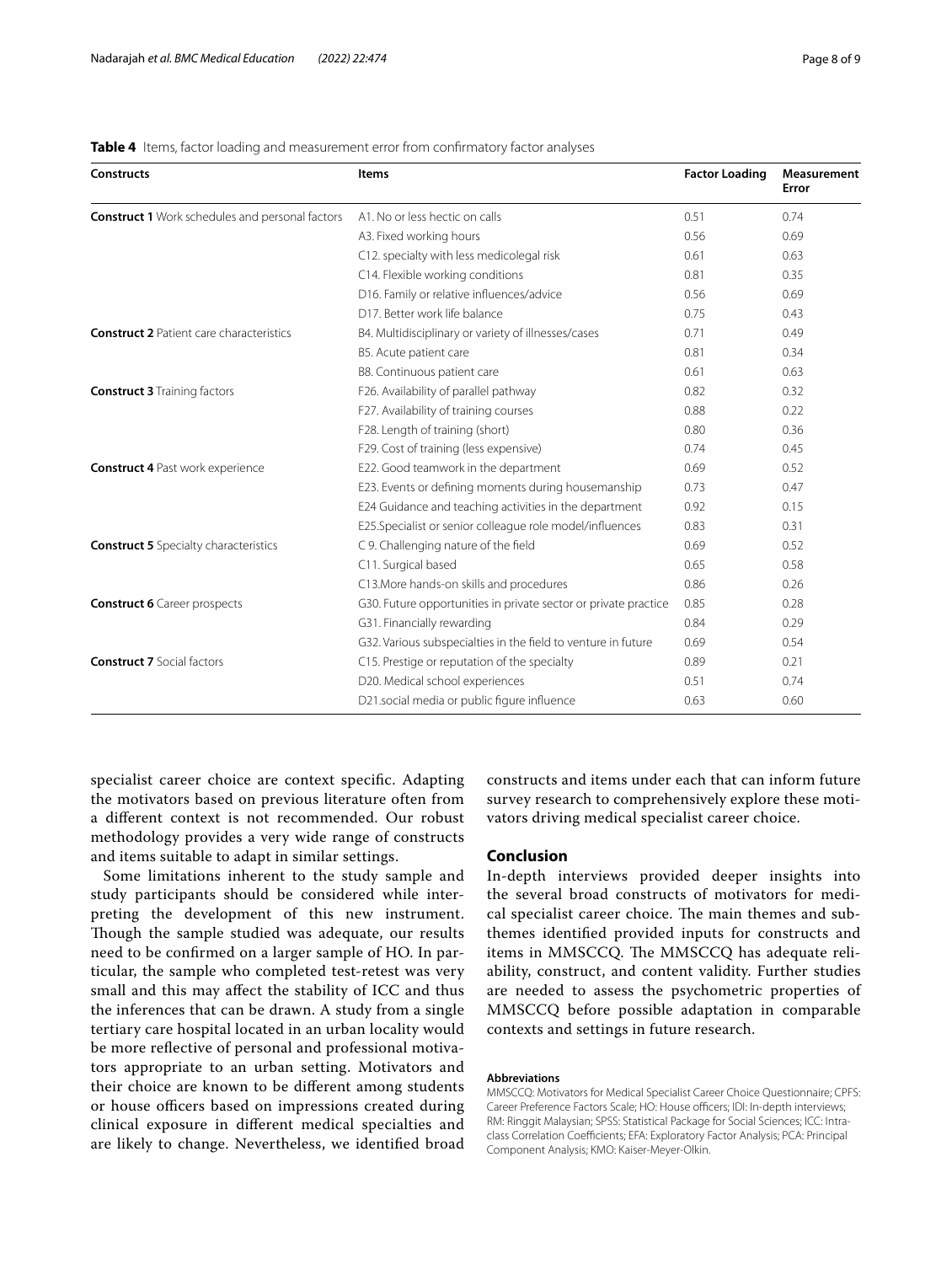| <b>Constructs</b>                                      | <b>Items</b>                                                    | <b>Factor Loading</b> | Measurement<br>Error |
|--------------------------------------------------------|-----------------------------------------------------------------|-----------------------|----------------------|
| <b>Construct 1</b> Work schedules and personal factors | A1. No or less hectic on calls                                  | 0.51                  | 0.74                 |
|                                                        | A3. Fixed working hours                                         | 0.56                  | 0.69                 |
|                                                        | C12. specialty with less medicolegal risk                       | 0.61                  | 0.63                 |
|                                                        | C14. Flexible working conditions                                | 0.81                  | 0.35                 |
|                                                        | D16. Family or relative influences/advice                       | 0.56                  | 0.69                 |
|                                                        | D17. Better work life balance                                   | 0.75                  | 0.43                 |
| <b>Construct 2 Patient care characteristics</b>        | B4. Multidisciplinary or variety of illnesses/cases             | 0.71                  | 0.49                 |
|                                                        | B5. Acute patient care                                          | 0.81                  | 0.34                 |
|                                                        | B8. Continuous patient care                                     | 0.61                  | 0.63                 |
| <b>Construct 3 Training factors</b>                    | F26. Availability of parallel pathway                           | 0.82                  | 0.32                 |
|                                                        | F27. Availability of training courses                           | 0.88                  | 0.22                 |
|                                                        | F28. Length of training (short)                                 | 0.80                  | 0.36                 |
|                                                        | F29. Cost of training (less expensive)                          | 0.74                  | 0.45                 |
| <b>Construct 4 Past work experience</b>                | E22. Good teamwork in the department                            | 0.69                  | 0.52                 |
|                                                        | E23. Events or defining moments during housemanship             | 0.73                  | 0.47                 |
|                                                        | E24 Guidance and teaching activities in the department          | 0.92                  | 0.15                 |
|                                                        | E25.Specialist or senior colleague role model/influences        | 0.83                  | 0.31                 |
| <b>Construct 5</b> Specialty characteristics           | C 9. Challenging nature of the field                            | 0.69                  | 0.52                 |
|                                                        | C11. Surgical based                                             | 0.65                  | 0.58                 |
|                                                        | C13. More hands-on skills and procedures                        | 0.86                  | 0.26                 |
| <b>Construct 6</b> Career prospects                    | G30. Future opportunities in private sector or private practice | 0.85                  | 0.28                 |
|                                                        | G31. Financially rewarding                                      | 0.84                  | 0.29                 |
|                                                        | G32. Various subspecialties in the field to venture in future   | 0.69                  | 0.54                 |
| <b>Construct 7 Social factors</b>                      | C15. Prestige or reputation of the specialty                    | 0.89                  | 0.21                 |
|                                                        | D20. Medical school experiences                                 | 0.51                  | 0.74                 |
|                                                        | D21.social media or public figure influence                     | 0.63                  | 0.60                 |

#### <span id="page-7-0"></span>**Table 4** Items, factor loading and measurement error from confrmatory factor analyses

specialist career choice are context specifc. Adapting the motivators based on previous literature often from a diferent context is not recommended. Our robust methodology provides a very wide range of constructs and items suitable to adapt in similar settings.

Some limitations inherent to the study sample and study participants should be considered while interpreting the development of this new instrument. Though the sample studied was adequate, our results need to be confrmed on a larger sample of HO. In particular, the sample who completed test-retest was very small and this may afect the stability of ICC and thus the inferences that can be drawn. A study from a single tertiary care hospital located in an urban locality would be more refective of personal and professional motivators appropriate to an urban setting. Motivators and their choice are known to be diferent among students or house officers based on impressions created during clinical exposure in diferent medical specialties and are likely to change. Nevertheless, we identifed broad constructs and items under each that can inform future survey research to comprehensively explore these motivators driving medical specialist career choice.

# **Conclusion**

In-depth interviews provided deeper insights into the several broad constructs of motivators for medical specialist career choice. The main themes and subthemes identifed provided inputs for constructs and items in MMSCCQ. The MMSCCQ has adequate reliability, construct, and content validity. Further studies are needed to assess the psychometric properties of MMSCCQ before possible adaptation in comparable contexts and settings in future research.

#### **Abbreviations**

MMSCCQ: Motivators for Medical Specialist Career Choice Questionnaire; CPFS: Career Preference Factors Scale; HO: House officers; IDI: In-depth interviews; RM: Ringgit Malaysian; SPSS: Statistical Package for Social Sciences; ICC: Intraclass Correlation Coefficients; EFA: Exploratory Factor Analysis; PCA: Principal Component Analysis; KMO: Kaiser-Meyer-Olkin.